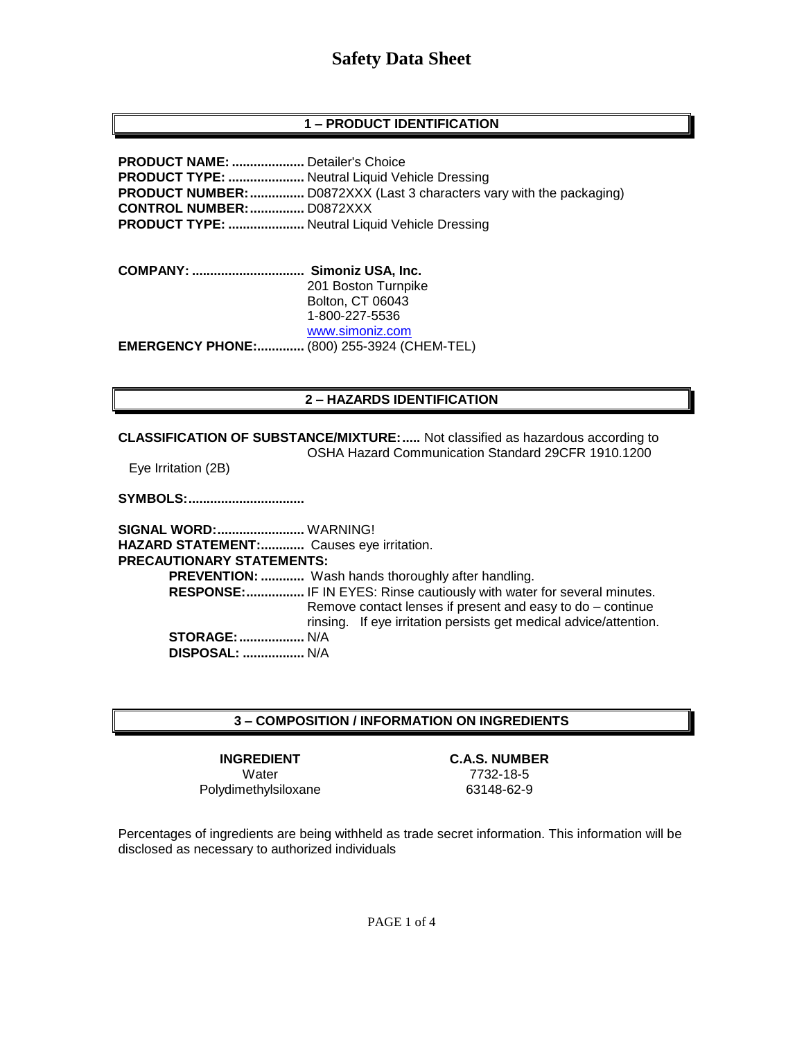# **Safety Data Sheet**

#### **1 – PRODUCT IDENTIFICATION**

**PRODUCT NAME: ....................** Detailer's Choice **PRODUCT TYPE: .....................** Neutral Liquid Vehicle Dressing **PRODUCT NUMBER:...............** D0872XXX (Last 3 characters vary with the packaging) **CONTROL NUMBER:...............** D0872XXX **PRODUCT TYPE: .....................** Neutral Liquid Vehicle Dressing

**COMPANY: ............................... Simoniz USA, Inc.** 201 Boston Turnpike Bolton, CT 06043 1-800-227-5536 [www.simoniz.com](http://www.simoniz.com/) **EMERGENCY PHONE:.............** (800) 255-3924 (CHEM-TEL)

#### **2 – HAZARDS IDENTIFICATION**

**CLASSIFICATION OF SUBSTANCE/MIXTURE:.....** Not classified as hazardous according to OSHA Hazard Communication Standard 29CFR 1910.1200

Eye Irritation (2B)

**SYMBOLS:................................**

**SIGNAL WORD:........................** WARNING! **HAZARD STATEMENT:............** Causes eye irritation. **PRECAUTIONARY STATEMENTS: PREVENTION: ............** Wash hands thoroughly after handling.  **RESPONSE:................** IF IN EYES: Rinse cautiously with water for several minutes. Remove contact lenses if present and easy to do – continue rinsing. If eye irritation persists get medical advice/attention. **STORAGE:..................** N/A  **DISPOSAL: .................** N/A

#### **3 – COMPOSITION / INFORMATION ON INGREDIENTS**

Water 7732-18-5 Polydimethylsiloxane 63148-62-9

**INGREDIENT C.A.S. NUMBER**

Percentages of ingredients are being withheld as trade secret information. This information will be disclosed as necessary to authorized individuals

PAGE 1 of 4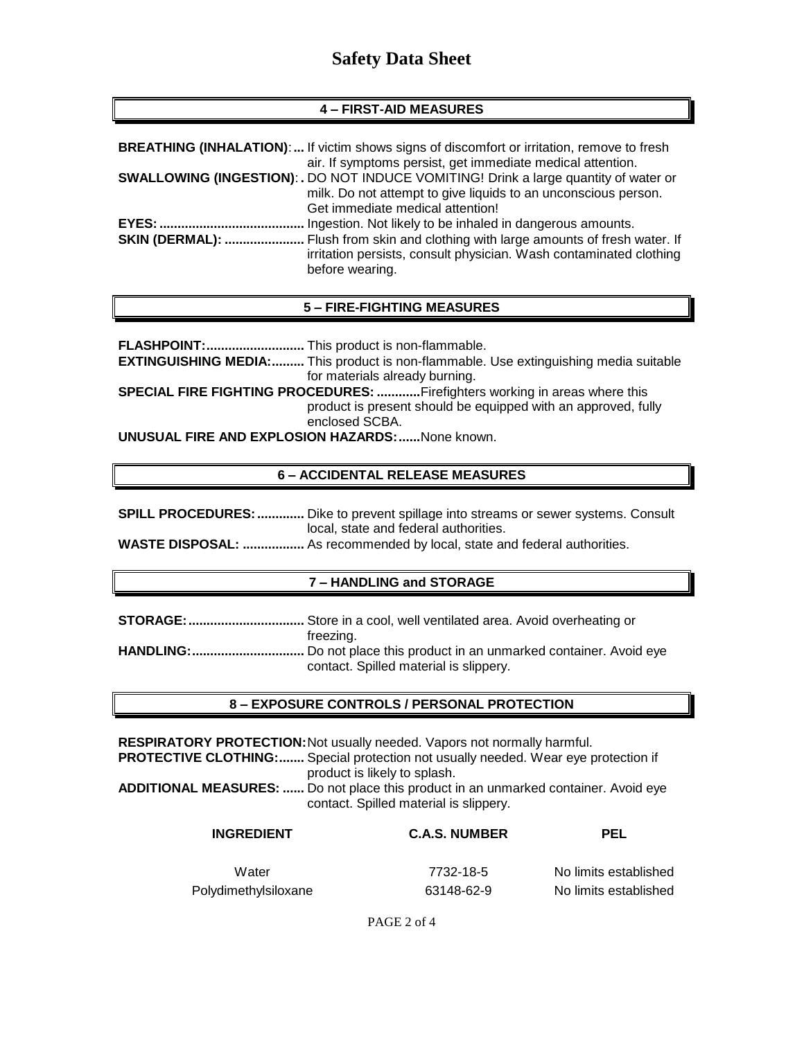# **Safety Data Sheet**

#### **4 – FIRST-AID MEASURES**

| <b>BREATHING (INHALATION):</b> If victim shows signs of discomfort or irritation, remove to fresh                                                               |
|-----------------------------------------------------------------------------------------------------------------------------------------------------------------|
| air. If symptoms persist, get immediate medical attention.                                                                                                      |
| <b>SWALLOWING (INGESTION): .</b> DO NOT INDUCE VOMITING! Drink a large quantity of water or                                                                     |
| milk. Do not attempt to give liquids to an unconscious person.                                                                                                  |
| Get immediate medical attention!                                                                                                                                |
| Ingestion. Not likely to be inhaled in dangerous amounts.                                                                                                       |
| <b>SKIN (DERMAL): </b> Flush from skin and clothing with large amounts of fresh water. If<br>irritation persists, consult physician. Wash contaminated clothing |
| before wearing.                                                                                                                                                 |

#### **5 – FIRE-FIGHTING MEASURES**

**FLASHPOINT:...........................** This product is non-flammable. **EXTINGUISHING MEDIA:.........** This product is non-flammable. Use extinguishing media suitable for materials already burning. **SPECIAL FIRE FIGHTING PROCEDURES: ............**Firefighters working in areas where this product is present should be equipped with an approved, fully enclosed SCBA. **UNUSUAL FIRE AND EXPLOSION HAZARDS:......**None known.

# **6 – ACCIDENTAL RELEASE MEASURES**

| <b>SPILL PROCEDURES: </b> Dike to prevent spillage into streams or sewer systems. Consult |
|-------------------------------------------------------------------------------------------|
| local, state and federal authorities.                                                     |
| <b>WASTE DISPOSAL:  As recommended by local, state and federal authorities.</b>           |

#### **7 – HANDLING and STORAGE**

**STORAGE:................................** Store in a cool, well ventilated area. Avoid overheating or freezing. **HANDLING:...............................** Do not place this product in an unmarked container. Avoid eye contact. Spilled material is slippery.

#### **8 – EXPOSURE CONTROLS / PERSONAL PROTECTION**

**RESPIRATORY PROTECTION:**Not usually needed. Vapors not normally harmful. **PROTECTIVE CLOTHING:.......** Special protection not usually needed. Wear eye protection if product is likely to splash. **ADDITIONAL MEASURES: ......** Do not place this product in an unmarked container. Avoid eye contact. Spilled material is slippery.

| <b>INGREDIENT</b>    | <b>C.A.S. NUMBER</b> | <b>PEL</b>            |
|----------------------|----------------------|-----------------------|
| Water                | 7732-18-5            | No limits established |
| Polydimethylsiloxane | 63148-62-9           | No limits established |

PAGE 2 of 4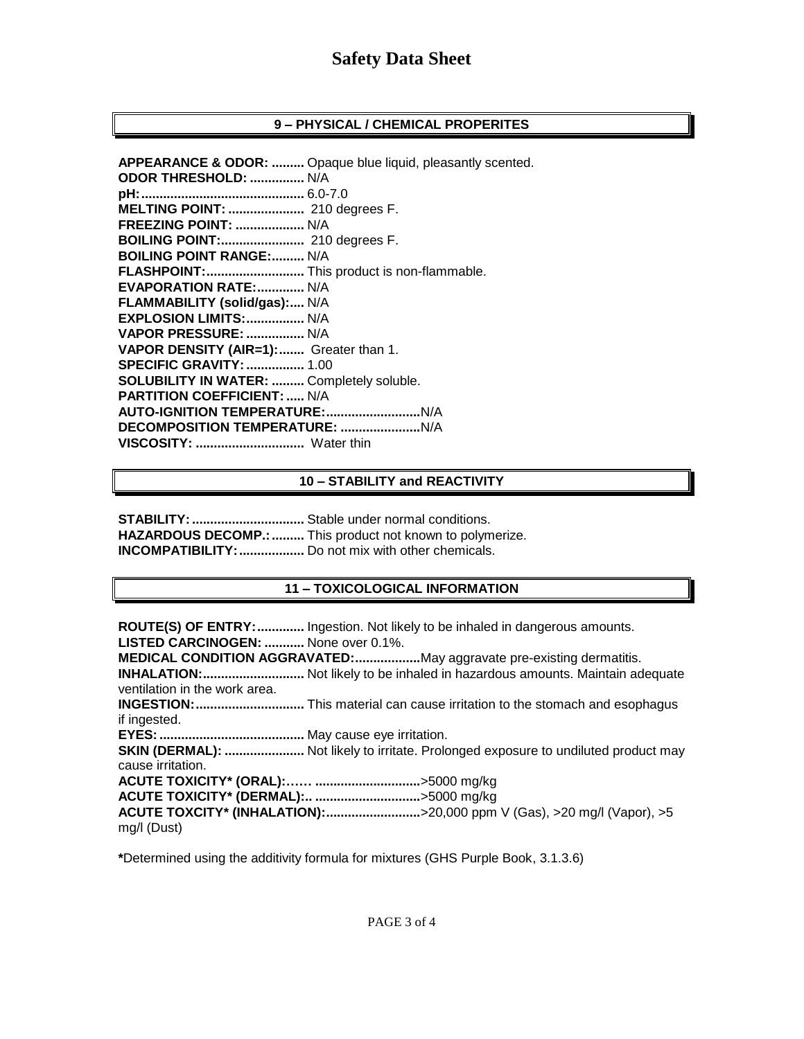## **9 – PHYSICAL / CHEMICAL PROPERITES**

**APPEARANCE & ODOR: .........** Opaque blue liquid, pleasantly scented. **ODOR THRESHOLD: ...............** N/A **pH:.............................................** 6.0-7.0 **MELTING POINT: .....................** 210 degrees F. **FREEZING POINT: ...................** N/A **BOILING POINT:.......................** 210 degrees F. **BOILING POINT RANGE:.........** N/A **FLASHPOINT:...........................** This product is non-flammable. **EVAPORATION RATE:.............** N/A **FLAMMABILITY (solid/gas):....** N/A **EXPLOSION LIMITS:................** N/A **VAPOR PRESSURE: ................** N/A **VAPOR DENSITY (AIR=1):.......** Greater than 1. **SPECIFIC GRAVITY:................** 1.00 **SOLUBILITY IN WATER: .........** Completely soluble. **PARTITION COEFFICIENT: .....** N/A **AUTO-IGNITION TEMPERATURE:..........................**N/A **DECOMPOSITION TEMPERATURE: ......................**N/A **VISCOSITY: ..............................** Water thin

#### **10 – STABILITY and REACTIVITY**

**STABILITY:...............................** Stable under normal conditions. **HAZARDOUS DECOMP.:.........** This product not known to polymerize. **INCOMPATIBILITY:..................** Do not mix with other chemicals.

# **11 – TOXICOLOGICAL INFORMATION**

**ROUTE(S) OF ENTRY:.............** Ingestion. Not likely to be inhaled in dangerous amounts. **LISTED CARCINOGEN: ...........** None over 0.1%. **MEDICAL CONDITION AGGRAVATED:..................**May aggravate pre-existing dermatitis. **INHALATION:............................** Not likely to be inhaled in hazardous amounts. Maintain adequate ventilation in the work area. **INGESTION:..............................** This material can cause irritation to the stomach and esophagus if ingested. **EYES:........................................** May cause eye irritation. **SKIN (DERMAL): ......................** Not likely to irritate. Prolonged exposure to undiluted product may cause irritation. **ACUTE TOXICITY\* (ORAL):…… .............................**>5000 mg/kg **ACUTE TOXICITY\* (DERMAL):.. .............................**>5000 mg/kg **ACUTE TOXCITY\* (INHALATION):..........................**>20,000 ppm V (Gas), >20 mg/l (Vapor), >5 mg/l (Dust)

**\***Determined using the additivity formula for mixtures (GHS Purple Book, 3.1.3.6)